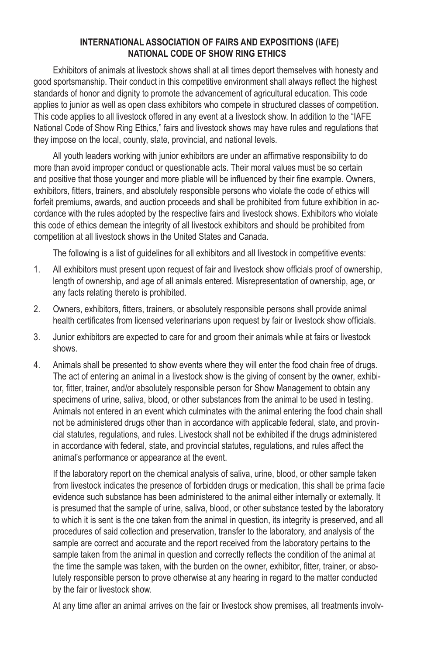## **INTERNATIONAL ASSOCIATION OF FAIRS AND EXPOSITIONS (IAFE) NATIONAL CODE OF SHOW RING ETHICS**

Exhibitors of animals at livestock shows shall at all times deport themselves with honesty and good sportsmanship. Their conduct in this competitive environment shall always reflect the highest standards of honor and dignity to promote the advancement of agricultural education. This code applies to junior as well as open class exhibitors who compete in structured classes of competition. This code applies to all livestock offered in any event at a livestock show. In addition to the "IAFE National Code of Show Ring Ethics," fairs and livestock shows may have rules and regulations that they impose on the local, county, state, provincial, and national levels.

All youth leaders working with junior exhibitors are under an affirmative responsibility to do more than avoid improper conduct or questionable acts. Their moral values must be so certain and positive that those younger and more pliable will be influenced by their fine example. Owners, exhibitors, fitters, trainers, and absolutely responsible persons who violate the code of ethics will forfeit premiums, awards, and auction proceeds and shall be prohibited from future exhibition in accordance with the rules adopted by the respective fairs and livestock shows. Exhibitors who violate this code of ethics demean the integrity of all livestock exhibitors and should be prohibited from competition at all livestock shows in the United States and Canada.

The following is a list of guidelines for all exhibitors and all livestock in competitive events:

- 1. All exhibitors must present upon request of fair and livestock show officials proof of ownership, length of ownership, and age of all animals entered. Misrepresentation of ownership, age, or any facts relating thereto is prohibited.
- 2. Owners, exhibitors, fitters, trainers, or absolutely responsible persons shall provide animal health certificates from licensed veterinarians upon request by fair or livestock show officials.
- 3. Junior exhibitors are expected to care for and groom their animals while at fairs or livestock shows.
- 4. Animals shall be presented to show events where they will enter the food chain free of drugs. The act of entering an animal in a livestock show is the giving of consent by the owner, exhibitor, fitter, trainer, and/or absolutely responsible person for Show Management to obtain any specimens of urine, saliva, blood, or other substances from the animal to be used in testing. Animals not entered in an event which culminates with the animal entering the food chain shall not be administered drugs other than in accordance with applicable federal, state, and provincial statutes, regulations, and rules. Livestock shall not be exhibited if the drugs administered in accordance with federal, state, and provincial statutes, regulations, and rules affect the animal's performance or appearance at the event.

If the laboratory report on the chemical analysis of saliva, urine, blood, or other sample taken from livestock indicates the presence of forbidden drugs or medication, this shall be prima facie evidence such substance has been administered to the animal either internally or externally. It is presumed that the sample of urine, saliva, blood, or other substance tested by the laboratory to which it is sent is the one taken from the animal in question, its integrity is preserved, and all procedures of said collection and preservation, transfer to the laboratory, and analysis of the sample are correct and accurate and the report received from the laboratory pertains to the sample taken from the animal in question and correctly reflects the condition of the animal at the time the sample was taken, with the burden on the owner, exhibitor, fitter, trainer, or absolutely responsible person to prove otherwise at any hearing in regard to the matter conducted by the fair or livestock show.

At any time after an animal arrives on the fair or livestock show premises, all treatments involv-